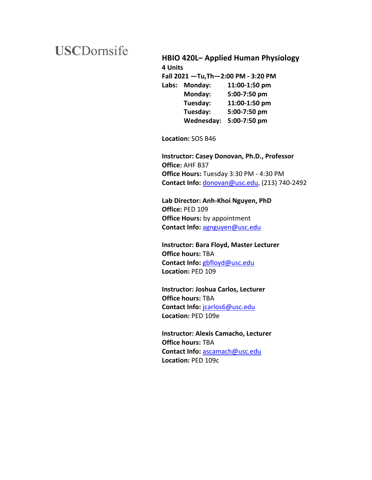# **USC**Dornsife

## **HBIO 420L– Applied Human Physiology**

**4 Units Fall 2021 —Tu,Th—2:00 PM - 3:20 PM Labs: Monday: 11:00-1:50 pm Monday: 5:00-7:50 pm Tuesday: 11:00-1:50 pm Tuesday: 5:00-7:50 pm Wednesday: 5:00-7:50 pm**

**Location:** SOS B46

**Instructor: Casey Donovan, Ph.D., Professor Office:** AHF B37 **Office Hours:** Tuesday 3:30 PM - 4:30 PM **Contact Info:** donovan@usc.edu, (213) 740-2492

**Lab Director: Anh-Khoi Nguyen, PhD Office:** PED 109 **Office Hours:** by appointment **Contact Info:** agnguyen@usc.edu

**Instructor: Bara Floyd, Master Lecturer Office hours:** TBA **Contact Info:** gbfloyd@usc.edu **Location:** PED 109

**Instructor: Joshua Carlos, Lecturer Office hours:** TBA **Contact Info:** jcarlos6@usc.edu **Location:** PED 109e

**Instructor: Alexis Camacho, Lecturer Office hours:** TBA **Contact Info:** ascamach@usc.edu **Location:** PED 109c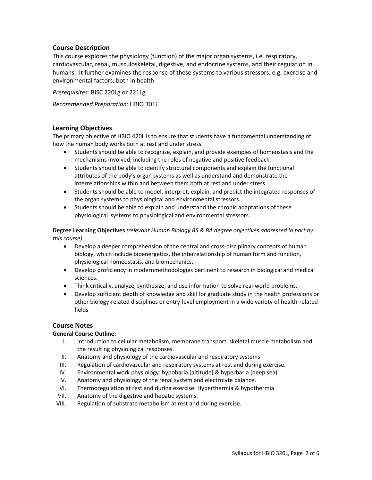## **Course Description**

This course explores the physiology (function) of the major organ systems, i.e. respiratory, cardiovascular, renal, musculoskeletal, digestive, and endocrine systems, and their regulation in humans. It further examines the response of these systems to various stressors, e.g. exercise and environmental factors, both in health

*Prerequisites:* BISC 220Lg or 221Lg

*Recommended Preparation:* HBIO 301L

#### **Learning Objectives**

The primary objective of HBIO 420L is to ensure that students have a fundamental understanding of how the human body works both at rest and under stress.

- Students should be able to recognize, explain, and provide examples of homeostasis and the mechanisms involved, including the roles of negative and positive feedback.
- Students should be able to identify structural components and explain the functional attributes of the body's organ systems as well as understand and demonstrate the interrelationships within and between them both at rest and under stress.
- Students should be able to model, interpret, explain, and predict the integrated responses of the organ systems to physiological and environmental stressors.
- Students should be able to explain and understand the chronic adaptations of these physiological systems to physiological and environmental stressors.

**Degree Learning Objectives** *(relevant Human Biology BS & BA degree objectives addressed in part by this course)*

- Develop a deeper comprehension of the central and cross-disciplinary concepts of human biology, which include bioenergetics, the interrelationship of human form and function, physiological homeostasis, and biomechanics.
- Develop proficiency in modernmethodologies pertinent to research in biological and medical sciences.
- Think critically, analyze, synthesize, and use information to solve real-world problems.
- Develop sufficient depth of knowledge and skill for graduate study in the health professions or other biology-related disciplines or entry-level employment in a wide variety of health-related fields

#### **Course Notes**

#### **General Course Outline:**

- I. Introduction to cellular metabolism, membrane transport, skeletal muscle metabolism and the resulting physiological responses.
- II. Anatomy and physiology of the cardiovascular and respiratory systems
- III. Regulation of cardiovascular and respiratory systems at rest and during exercise.
- IV. Environmental work physiology: hypobaria (altitude) & hyperbaria (deep sea)
- V. Anatomy and physiology of the renal system and electrolyte balance.
- VI. Thermoregulation at rest and during exercise: Hyperthermia & hypothermia
- VII. Anatomy of the digestive and hepatic systems.
- VIII. Regulation of substrate metabolism at rest and during exercise.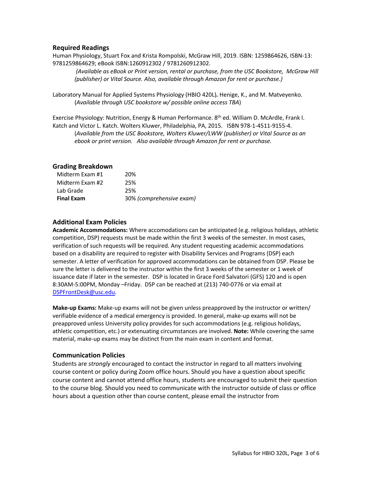#### **Required Readings**

Human Physiology, Stuart Fox and Krista Rompolski, McGraw Hill, 2019. ISBN: 1259864626, ISBN-13: 9781259864629; eBook ISBN:1260912302 / 9781260912302.

*(Available as eBook or Print version, rental or purchase, from the USC Bookstore, McGraw Hill (publisher) or Vital Source. Also, available through Amazon for rent or purchase.)*

Laboratory Manual for Applied Systems Physiology (HBIO 420L)*.* Henige, K., and M. Matveyenko. (*Available through USC bookstore w/ possible online access TBA*)

Exercise Physiology: Nutrition, Energy & Human Performance. 8<sup>th</sup> ed. William D. McArdle, Frank I. Katch and Victor L. Katch. Wolters Kluwer, Philadelphia, PA, 2015. ISBN 978-1-4511-9155-4. (*Available from the USC Bookstore, Wolters Kluwer/LWW (publisher) or Vital Source as an ebook or print version. Also available through Amazon for rent or purchase.*

## **Grading Breakdown**

| Midterm Exam #1   | 20%                      |
|-------------------|--------------------------|
| Midterm Exam #2   | 25%                      |
| Lab Grade         | 25%                      |
| <b>Final Exam</b> | 30% (comprehensive exam) |

## **Additional Exam Policies**

**Academic Accommodations:** Where accomodations can be anticipated (e.g. religious holidays, athletic competition, DSP) requests must be made within the first 3 weeks of the semester. In most cases, verification of such requests will be required. Any student requesting academic accommodations based on a disability are required to register with Disability Services and Programs (DSP) each semester. A letter of verification for approved accommodations can be obtained from DSP. Please be sure the letter is delivered to the instructor within the first 3 weeks of the semester or 1 week of issuance date if later in the semester. DSP is located in Grace Ford Salvatori (GFS) 120 and is open 8:30AM-5:00PM, Monday –Friday. DSP can be reached at (213) 740-0776 or via email at DSPFrontDesk@usc.edu.

**Make-up Exams:** Make-up exams will not be given unless preapproved by the instructor or written/ verifiable evidence of a medical emergency is provided. In general, make-up exams will not be preapproved unless University policy provides for such accommodations (e.g. religious holidays, athletic competition, etc.) or extenuating circumstances are involved. **Note:** While covering the same material, make-up exams may be distinct from the main exam in content and format.

## **Communication Policies**

Students are *strongly* encouraged to contact the instructor in regard to all matters involving course content or policy during Zoom office hours. Should you have a question about specific course content and cannot attend office hours, students are encouraged to submit their question to the course blog. Should you need to communicate with the instructor outside of class or office hours about a question other than course content, please email the instructor from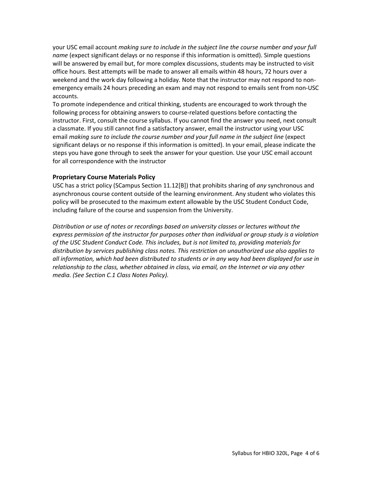your USC email account *making sure to include in the subject line the course number and your full name* (expect significant delays or no response if this information is omitted). Simple questions will be answered by email but, for more complex discussions, students may be instructed to visit office hours. Best attempts will be made to answer all emails within 48 hours, 72 hours over a weekend and the work day following a holiday. Note that the instructor may not respond to nonemergency emails 24 hours preceding an exam and may not respond to emails sent from non-USC accounts.

To promote independence and critical thinking, students are encouraged to work through the following process for obtaining answers to course-related questions before contacting the instructor. First, consult the course syllabus. If you cannot find the answer you need, next consult a classmate. If you still cannot find a satisfactory answer, email the instructor using your USC email *making sure to include the course number and your full name in the subject line* (expect significant delays or no response if this information is omitted). In your email, please indicate the steps you have gone through to seek the answer for your question. Use your USC email account for all correspondence with the instructor

## **Proprietary Course Materials Policy**

USC has a strict policy (SCampus Section 11.12[B]) that prohibits sharing of *any* synchronous and asynchronous course content outside of the learning environment. Any student who violates this policy will be prosecuted to the maximum extent allowable by the USC Student Conduct Code, including failure of the course and suspension from the University.

*Distribution or use of notes or recordings based on university classes or lectures without the express permission of the instructor for purposes other than individual or group study is a violation of the USC Student Conduct Code. This includes, but is not limited to, providing materials for distribution by services publishing class notes. This restriction on unauthorized use also applies to all information, which had been distributed to students or in any way had been displayed for use in relationship to the class, whether obtained in class, via email, on the Internet or via any other media. (See Section C.1 Class Notes Policy).*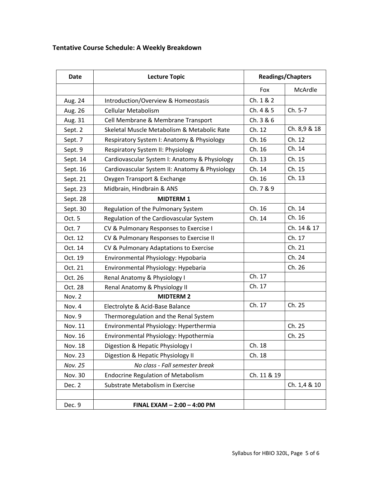## **Tentative Course Schedule: A Weekly Breakdown**

| Date           | <b>Lecture Topic</b>                           | <b>Readings/Chapters</b> |              |
|----------------|------------------------------------------------|--------------------------|--------------|
|                |                                                | Fox                      | McArdle      |
| Aug. 24        | Introduction/Overview & Homeostasis            | Ch. 1 & 2                |              |
| Aug. 26        | Cellular Metabolism                            | Ch. 4 & 5                | Ch. 5-7      |
| Aug. 31        | Cell Membrane & Membrane Transport             | Ch. 3 & 6                |              |
| Sept. 2        | Skeletal Muscle Metabolism & Metabolic Rate    | Ch. 12                   | Ch. 8,9 & 18 |
| Sept. 7        | Respiratory System I: Anatomy & Physiology     | Ch. 16                   | Ch. 12       |
| Sept. 9        | Respiratory System II: Physiology              | Ch. 16                   | Ch. 14       |
| Sept. 14       | Cardiovascular System I: Anatomy & Physiology  | Ch. 13                   | Ch. 15       |
| Sept. 16       | Cardiovascular System II: Anatomy & Physiology | Ch. 14                   | Ch. 15       |
| Sept. 21       | Oxygen Transport & Exchange                    | Ch. 16                   | Ch. 13       |
| Sept. 23       | Midbrain, Hindbrain & ANS                      | Ch. 7 & 9                |              |
| Sept. 28       | <b>MIDTERM1</b>                                |                          |              |
| Sept. 30       | Regulation of the Pulmonary System             | Ch. 16                   | Ch. 14       |
| Oct. 5         | Regulation of the Cardiovascular System        | Ch. 14                   | Ch. 16       |
| Oct. 7         | CV & Pulmonary Responses to Exercise I         |                          | Ch. 14 & 17  |
| Oct. 12        | CV & Pulmonary Responses to Exercise II        |                          | Ch. 17       |
| Oct. 14        | CV & Pulmonary Adaptations to Exercise         |                          | Ch. 21       |
| Oct. 19        | Environmental Physiology: Hypobaria            |                          | Ch. 24       |
| Oct. 21        | Environmental Physiology: Hypebaria            |                          | Ch. 26       |
| Oct. 26        | Renal Anatomy & Physiology I                   | Ch. 17                   |              |
| Oct. 28        | Renal Anatomy & Physiology II                  | Ch. 17                   |              |
| Nov. 2         | <b>MIDTERM 2</b>                               |                          |              |
| Nov. 4         | Electrolyte & Acid-Base Balance                | Ch. 17                   | Ch. 25       |
| Nov. 9         | Thermoregulation and the Renal System          |                          |              |
| Nov. 11        | Environmental Physiology: Hyperthermia         |                          | Ch. 25       |
| Nov. 16        | Environmental Physiology: Hypothermia          |                          | Ch. 25       |
| Nov. 18        | Digestion & Hepatic Physiology I               | Ch. 18                   |              |
| <b>Nov. 23</b> | Digestion & Hepatic Physiology II              | Ch. 18                   |              |
| Nov. 25        | No class - Fall semester break                 |                          |              |
| Nov. 30        | <b>Endocrine Regulation of Metabolism</b>      | Ch. 11 & 19              |              |
| Dec. 2         | Substrate Metabolism in Exercise               |                          | Ch. 1,4 & 10 |
|                |                                                |                          |              |
| Dec. 9         | FINAL EXAM - 2:00 - 4:00 PM                    |                          |              |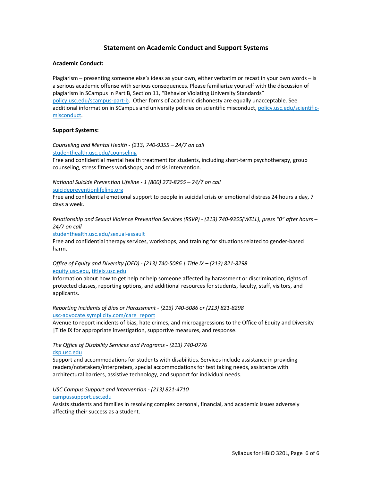#### **Statement on Academic Conduct and Support Systems**

#### **Academic Conduct:**

Plagiarism – presenting someone else's ideas as your own, either verbatim or recast in your own words – is a serious academic offense with serious consequences. Please familiarize yourself with the discussion of plagiarism in SCampus in Part B, Section 11, "Behavior Violating University Standards" policy.usc.edu/scampus-part-b. Other forms of academic dishonesty are equally unacceptable. See additional information in SCampus and university policies on scientific misconduct, policy.usc.edu/scientificmisconduct.

#### **Support Systems:**

*Counseling and Mental Health - (213) 740-9355 – 24/7 on call* studenthealth.usc.edu/counseling

Free and confidential mental health treatment for students, including short-term psychotherapy, group counseling, stress fitness workshops, and crisis intervention.

*National Suicide Prevention Lifeline - 1 (800) 273-8255 – 24/7 on call*

suicidepreventionlifeline.org

Free and confidential emotional support to people in suicidal crisis or emotional distress 24 hours a day, 7 days a week.

*Relationship and Sexual Violence Prevention Services (RSVP) - (213) 740-9355(WELL), press "0" after hours – 24/7 on call*

studenthealth.usc.edu/sexual-assault

Free and confidential therapy services, workshops, and training for situations related to gender-based harm.

#### *Office of Equity and Diversity (OED) - (213) 740-5086 | Title IX – (213) 821-8298* equity.usc.edu, titleix.usc.edu

Information about how to get help or help someone affected by harassment or discrimination, rights of protected classes, reporting options, and additional resources for students, faculty, staff, visitors, and applicants.

#### *Reporting Incidents of Bias or Harassment - (213) 740-5086 or (213) 821-8298* usc-advocate.symplicity.com/care\_report

Avenue to report incidents of bias, hate crimes, and microaggressions to the Office of Equity and Diversity |Title IX for appropriate investigation, supportive measures, and response.

#### *The Office of Disability Services and Programs - (213) 740-0776* dsp.usc.edu

Support and accommodations for students with disabilities. Services include assistance in providing readers/notetakers/interpreters, special accommodations for test taking needs, assistance with architectural barriers, assistive technology, and support for individual needs.

## *USC Campus Support and Intervention - (213) 821-4710*

#### campussupport.usc.edu

Assists students and families in resolving complex personal, financial, and academic issues adversely affecting their success as a student.